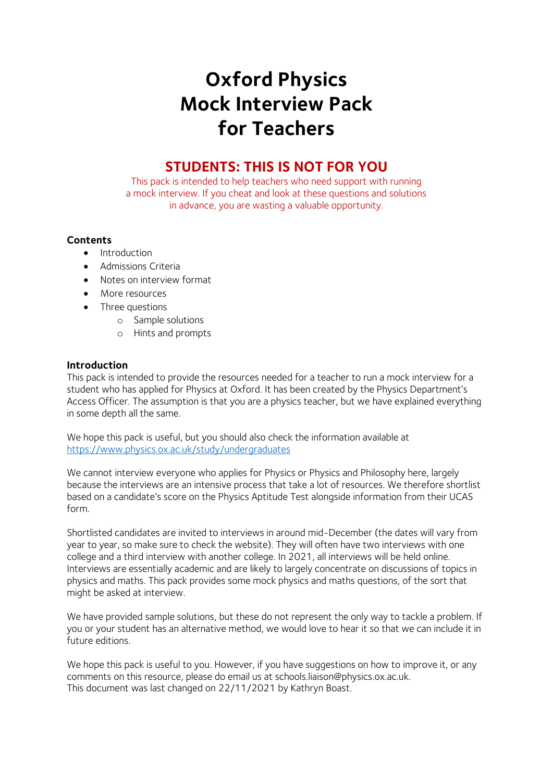# **Oxford Physics Mock Interview Pack for Teachers**

## **STUDENTS: THIS IS NOT FOR YOU**

This pack is intended to help teachers who need support with running a mock interview. If you cheat and look at these questions and solutions in advance, you are wasting a valuable opportunity.

## **Contents**

- Introduction
- Admissions Criteria
- Notes on interview format
- More resources
- Three questions
	- o Sample solutions
	- o Hints and prompts

## **Introduction**

This pack is intended to provide the resources needed for a teacher to run a mock interview for a student who has applied for Physics at Oxford. It has been created by the Physics Department's Access Officer. The assumption is that you are a physics teacher, but we have explained everything in some depth all the same.

We hope this pack is useful, but you should also check the information available at <https://www.physics.ox.ac.uk/study/undergraduates>

We cannot interview everyone who applies for Physics or Physics and Philosophy here, largely because the interviews are an intensive process that take a lot of resources. We therefore shortlist based on a candidate's score on the Physics Aptitude Test alongside information from their UCAS form.

Shortlisted candidates are invited to interviews in around mid-December (the dates will vary from year to year, so make sure to check the website). They will often have two interviews with one college and a third interview with another college. In 2021, all interviews will be held online. Interviews are essentially academic and are likely to largely concentrate on discussions of topics in physics and maths. This pack provides some mock physics and maths questions, of the sort that might be asked at interview.

We have provided sample solutions, but these do not represent the only way to tackle a problem. If you or your student has an alternative method, we would love to hear it so that we can include it in future editions.

We hope this pack is useful to you. However, if you have suggestions on how to improve it, or any comments on this resource, please do email us at schools.liaison@physics.ox.ac.uk. This document was last changed on 22/11/2021 by Kathryn Boast.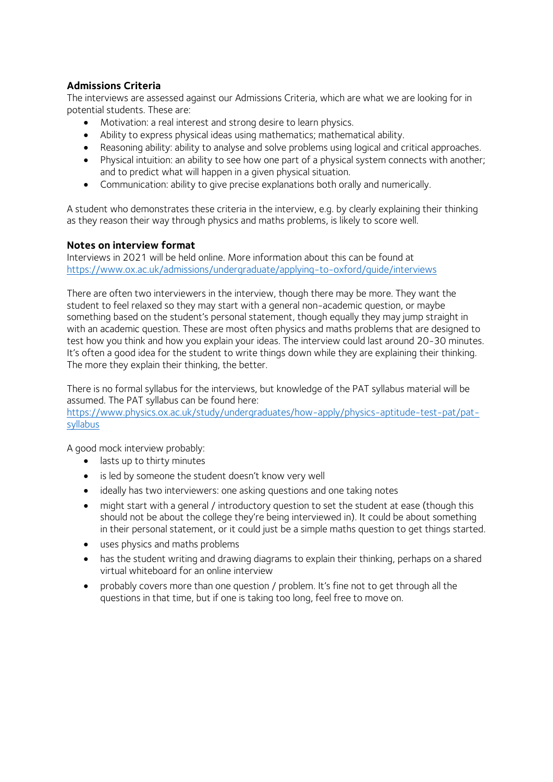## **Admissions Criteria**

The interviews are assessed against our Admissions Criteria, which are what we are looking for in potential students. These are:

- Motivation: a real interest and strong desire to learn physics.
- Ability to express physical ideas using mathematics; mathematical ability.
- Reasoning ability: ability to analyse and solve problems using logical and critical approaches.
- Physical intuition: an ability to see how one part of a physical system connects with another; and to predict what will happen in a given physical situation.
- Communication: ability to give precise explanations both orally and numerically.

A student who demonstrates these criteria in the interview, e.g. by clearly explaining their thinking as they reason their way through physics and maths problems, is likely to score well.

## **Notes on interview format**

Interviews in 2021 will be held online. More information about this can be found at <https://www.ox.ac.uk/admissions/undergraduate/applying-to-oxford/guide/interviews>

There are often two interviewers in the interview, though there may be more. They want the student to feel relaxed so they may start with a general non-academic question, or maybe something based on the student's personal statement, though equally they may jump straight in with an academic question. These are most often physics and maths problems that are designed to test how you think and how you explain your ideas. The interview could last around 20-30 minutes. It's often a good idea for the student to write things down while they are explaining their thinking. The more they explain their thinking, the better.

There is no formal syllabus for the interviews, but knowledge of the PAT syllabus material will be assumed. The PAT syllabus can be found here:

[https://www.physics.ox.ac.uk/study/undergraduates/how-apply/physics-aptitude-test-pat/pat](https://www.physics.ox.ac.uk/study/undergraduates/how-apply/physics-aptitude-test-pat/pat-syllabus)[syllabus](https://www.physics.ox.ac.uk/study/undergraduates/how-apply/physics-aptitude-test-pat/pat-syllabus)

A good mock interview probably:

- lasts up to thirty minutes
- is led by someone the student doesn't know very well
- ideally has two interviewers: one asking questions and one taking notes
- might start with a general / introductory question to set the student at ease (though this should not be about the college they're being interviewed in). It could be about something in their personal statement, or it could just be a simple maths question to get things started.
- uses physics and maths problems
- has the student writing and drawing diagrams to explain their thinking, perhaps on a shared virtual whiteboard for an online interview
- probably covers more than one question / problem. It's fine not to get through all the questions in that time, but if one is taking too long, feel free to move on.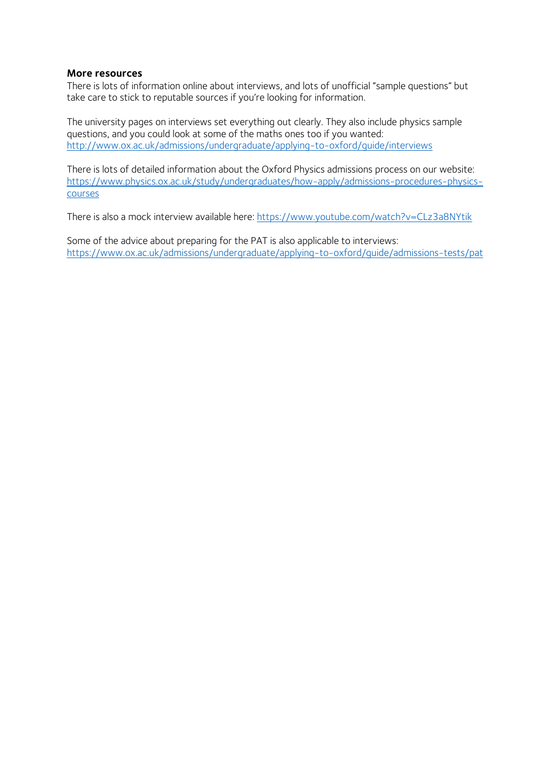#### **More resources**

There is lots of information online about interviews, and lots of unofficial "sample questions" but take care to stick to reputable sources if you're looking for information.

The university pages on interviews set everything out clearly. They also include physics sample questions, and you could look at some of the maths ones too if you wanted: <http://www.ox.ac.uk/admissions/undergraduate/applying-to-oxford/guide/interviews>

There is lots of detailed information about the Oxford Physics admissions process on our website: [https://www.physics.ox.ac.uk/study/undergraduates/how-apply/admissions-procedures-physics](https://www.physics.ox.ac.uk/study/undergraduates/how-apply/admissions-procedures-physics-courses)[courses](https://www.physics.ox.ac.uk/study/undergraduates/how-apply/admissions-procedures-physics-courses)

There is also a mock interview available here:<https://www.youtube.com/watch?v=CLz3a8NYtik>

Some of the advice about preparing for the PAT is also applicable to interviews: <https://www.ox.ac.uk/admissions/undergraduate/applying-to-oxford/guide/admissions-tests/pat>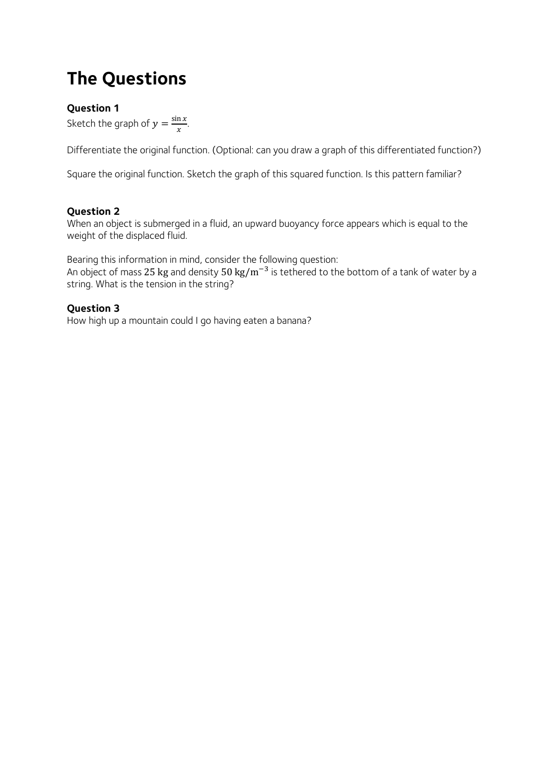## **The Questions**

## **Question 1**

Sketch the graph of  $y = \frac{\sin x}{x}$  $\frac{\pi x}{x}$ .

Differentiate the original function. (Optional: can you draw a graph of this differentiated function?)

Square the original function. Sketch the graph of this squared function. Is this pattern familiar?

## **Question 2**

When an object is submerged in a fluid, an upward buoyancy force appears which is equal to the weight of the displaced fluid.

Bearing this information in mind, consider the following question: An object of mass 25 kg and density 50 kg/m<sup>-3</sup> is tethered to the bottom of a tank of water by a string. What is the tension in the string?

## **Question 3**

How high up a mountain could I go having eaten a banana?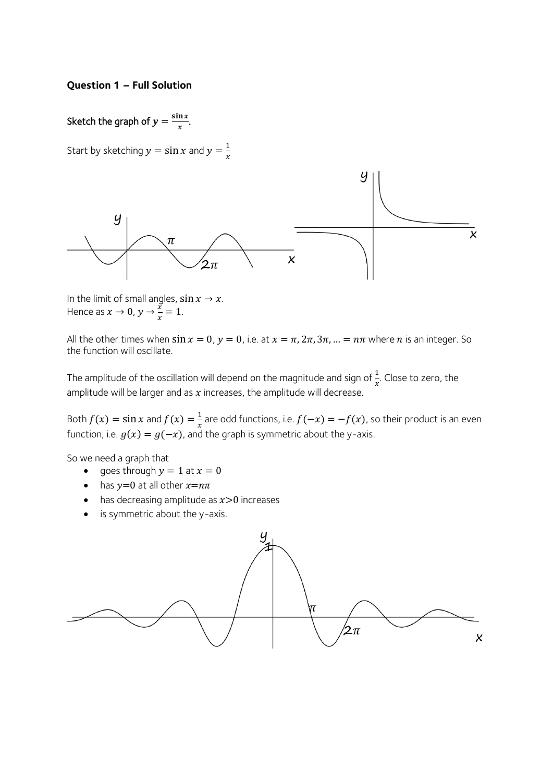#### **Question 1 – Full Solution**

#### Sketch the graph of  $y = \frac{\sin x}{x}$  $\frac{\pi x}{x}$ .

Start by sketching  $y = \sin x$  and  $y = \frac{1}{x}$  $\boldsymbol{\chi}$ 



In the limit of small angles,  $\sin x \rightarrow x$ . Hence as  $x \to 0$ ,  $y \to \frac{\overline{x}}{x}$  $\frac{x}{x} = 1.$ 

All the other times when  $\sin x = 0$ ,  $y = 0$ , i.e. at  $x = \pi$ ,  $2\pi$ ,  $3\pi$ , ... =  $n\pi$  where *n* is an integer. So the function will oscillate.

The amplitude of the oscillation will depend on the magnitude and sign of  $\frac{1}{x}$ . Close to zero, the amplitude will be larger and as  $x$  increases, the amplitude will decrease.

Both  $f(x) = \sin x$  and  $f(x) = \frac{1}{x}$  $\frac{1}{x}$  are odd functions, i.e.  $f(-x) = -f(x)$ , so their product is an even function, i.e.  $g(x) = g(-x)$ , and the graph is symmetric about the y-axis.

So we need a graph that

- goes through  $y = 1$  at  $x = 0$
- has  $y=0$  at all other  $x=n\pi$
- has decreasing amplitude as  $x>0$  increases
- is symmetric about the y-axis.

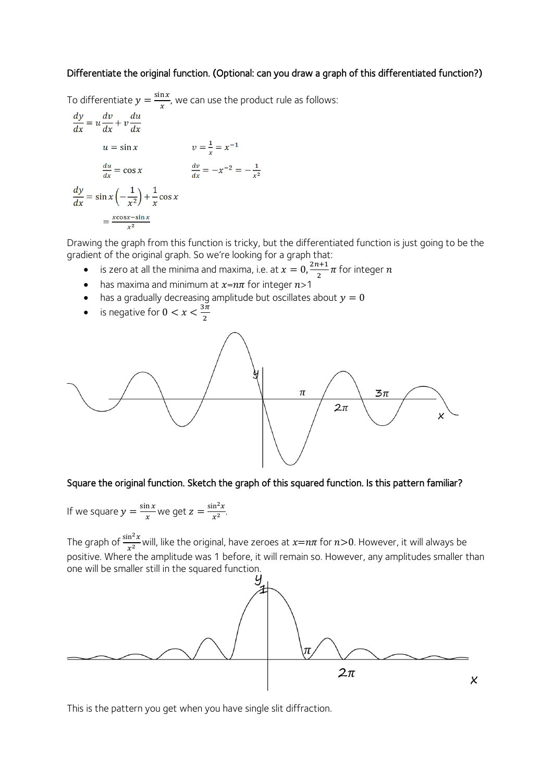## Differentiate the original function. (Optional: can you draw a graph of this differentiated function?)

To differentiate  $y = \frac{\sin x}{x}$  $\frac{dx}{x}$ , we can use the product rule as follows:

$$
\frac{dy}{dx} = u \frac{dv}{dx} + v \frac{du}{dx}
$$
  
\n
$$
u = \sin x \qquad \qquad v = \frac{1}{x} = x^{-1}
$$
  
\n
$$
\frac{du}{dx} = \cos x \qquad \qquad \frac{dv}{dx} = -x^{-2} = -\frac{1}{x^2}
$$
  
\n
$$
\frac{dy}{dx} = \sin x \left(-\frac{1}{x^2}\right) + \frac{1}{x} \cos x
$$
  
\n
$$
= \frac{x \cos x - \sin x}{x^2}
$$

Drawing the graph from this function is tricky, but the differentiated function is just going to be the gradient of the original graph. So we're looking for a graph that:

- is zero at all the minima and maxima, i.e. at  $x = 0, \frac{2n+1}{2}$  $\frac{n+1}{2}\pi$  for integer  $n$
- has maxima and minimum at  $x=n\pi$  for integer  $n>1$
- has a gradually decreasing amplitude but oscillates about  $y = 0$
- is negative for  $0 < x < \frac{3\pi}{2}$



## Square the original function. Sketch the graph of this squared function. Is this pattern familiar?

If we square  $y = \frac{\sin x}{x}$  $\frac{\ln x}{x}$  we get  $z = \frac{\sin^2 x}{x^2}$  $\frac{\ln x}{x^2}$ .

The graph of  $\frac{\sin^2 x}{x^2}$ will, like the original, have zeroes at  $x=n\pi$  for  $n>0$ . However, it will always be positive. Where the amplitude was 1 before, it will remain so. However, any amplitudes smaller than one will be smaller still in the squared function.



This is the pattern you get when you have single slit diffraction.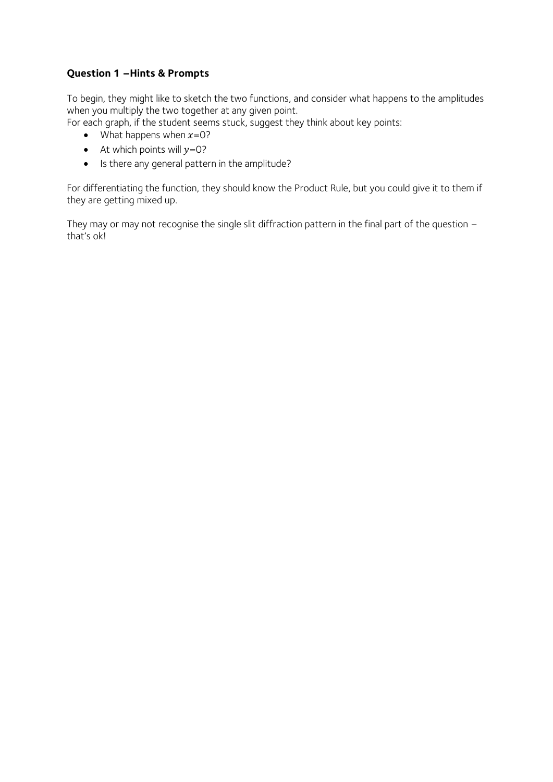## **Question 1 –Hints & Prompts**

To begin, they might like to sketch the two functions, and consider what happens to the amplitudes when you multiply the two together at any given point.

For each graph, if the student seems stuck, suggest they think about key points:

- What happens when  $x=0$ ?
- At which points will  $y=0$ ?
- Is there any general pattern in the amplitude?

For differentiating the function, they should know the Product Rule, but you could give it to them if they are getting mixed up.

They may or may not recognise the single slit diffraction pattern in the final part of the question – that's ok!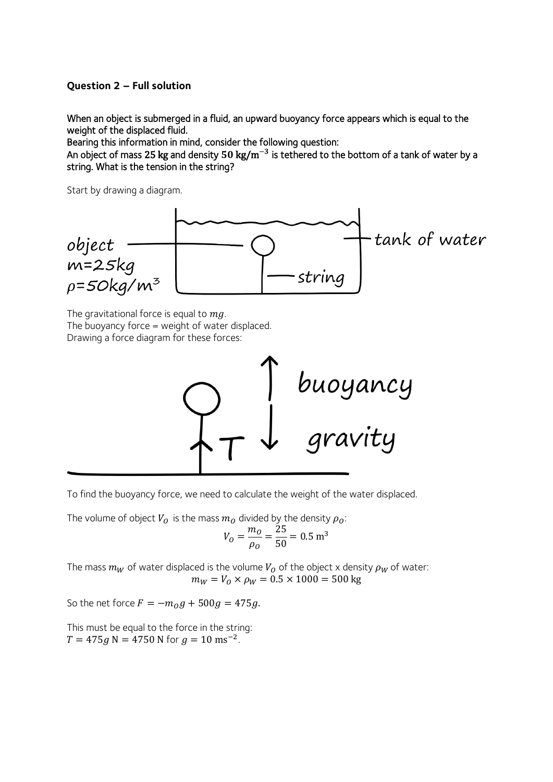### **Question 2 – Full solution**

When an object is submerged in a fluid, an upward buoyancy force appears which is equal to the weight of the displaced fluid.

Bearing this information in mind, consider the following question:

An object of mass 25 kg and density 50 kg/m $^{-3}$  is tethered to the bottom of a tank of water by a string. What is the tension in the string?

Start by drawing a diagram.



The gravitational force is equal to  $mg$ . The buoyancy force  $=$  weight of water displaced. Drawing a force diagram for these forces:



To find the buoyancy force, we need to calculate the weight of the water displaced.

The volume of object  $V_0$  is the mass  $m_0$  divided by the density  $\rho_0$ :

$$
V_O = \frac{m_O}{\rho_O} = \frac{25}{50} = 0.5 \text{ m}^3
$$

The mass  $m_W$  of water displaced is the volume  $V_O$  of the object x density  $\rho_W$  of water:  $m_W = V_0 \times \rho_W = 0.5 \times 1000 = 500$  kg

So the net force  $F = -m_0 g + 500 g = 475 g$ .

This must be equal to the force in the string:  $T = 475 g N = 4750 N$  for  $g = 10$  ms<sup>-2</sup>.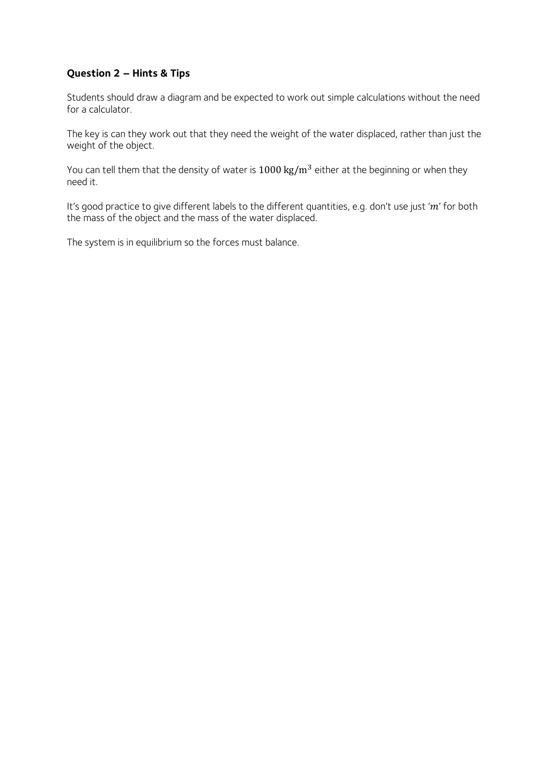## **Question 2 – Hints & Tips**

Students should draw a diagram and be expected to work out simple calculations without the need for a calculator.

The key is can they work out that they need the weight of the water displaced, rather than just the weight of the object.

You can tell them that the density of water is  $1000 \text{ kg/m}^3$  either at the beginning or when they need it.

It's good practice to give different labels to the different quantities, e.g. don't use just ' $m$ ' for both the mass of the object and the mass of the water displaced.

The system is in equilibrium so the forces must balance.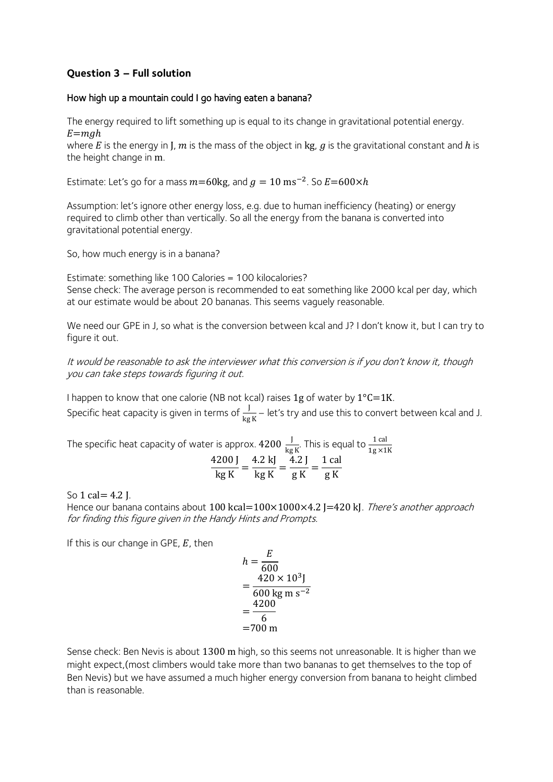## **Question 3 – Full solution**

## How high up a mountain could I go having eaten a banana?

The energy required to lift something up is equal to its change in gravitational potential energy.  $E = mgh$ 

where E is the energy in J,  $m$  is the mass of the object in kg,  $g$  is the gravitational constant and  $h$  is the height change in m.

Estimate: Let's go for a mass  $m=60$ kg, and  $g = 10$  ms<sup>-2</sup>. So  $E=600\times h$ 

Assumption: let's ignore other energy loss, e.g. due to human inefficiency (heating) or energy required to climb other than vertically. So all the energy from the banana is converted into gravitational potential energy.

So, how much energy is in a banana?

Estimate: something like 100 Calories = 100 kilocalories? Sense check: The average person is recommended to eat something like 2000 kcal per day, which at our estimate would be about 20 bananas. This seems vaguely reasonable.

We need our GPE in J, so what is the conversion between kcal and J? I don't know it, but I can try to figure it out.

It would be reasonable to ask the interviewer what this conversion is if you don't know it, though you can take steps towards figuring it out.

I happen to know that one calorie (NB not kcal) raises 1g of water by  $1^{\circ}C=1K$ . Specific heat capacity is given in terms of  $\frac{J}{kg\,K}$  – let's try and use this to convert between kcal and J.

The specific heat capacity of water is approx.  $4200\, \frac{\text{J}}{\text{kg K}}$ . This is equal to  $\frac{1 \text{ cal}}{1 \text{g} \times 1 \text{K}}$ 4200 J  $\frac{1}{\log K}$  = 4.2 kJ  $\frac{1}{\log K}$  = 4.2 J  $\frac{1}{g K} =$ 1 cal g K

So 1 cal  $= 4.2$  J.

Hence our banana contains about 100 kcal=100×1000×4.2 J=420 kJ. There's another approach for finding this figure given in the Handy Hints and Prompts.

If this is our change in GPE,  $E$ , then

$$
h = \frac{E}{600}
$$
  
=  $\frac{420 \times 10^3 \text{ J}}{600 \text{ kg m s}^{-2}}$   
=  $\frac{4200}{6}$   
= 700 m

Sense check: Ben Nevis is about 1300 m high, so this seems not unreasonable. It is higher than we might expect,(most climbers would take more than two bananas to get themselves to the top of Ben Nevis) but we have assumed a much higher energy conversion from banana to height climbed than is reasonable.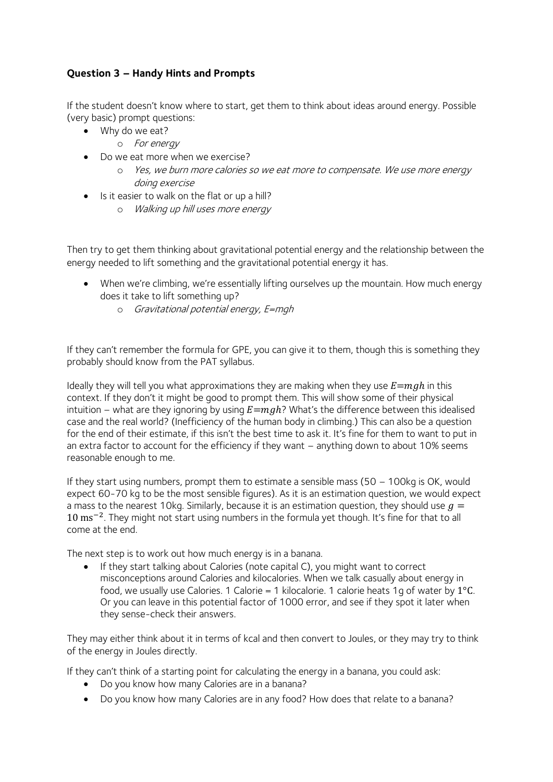## **Question 3 – Handy Hints and Prompts**

If the student doesn't know where to start, get them to think about ideas around energy. Possible (very basic) prompt questions:

- Why do we eat?
	- o For energy
- Do we eat more when we exercise?
	- o Yes, we burn more calories so we eat more to compensate. We use more energy doing exercise
- Is it easier to walk on the flat or up a hill?
	- o Walking up hill uses more energy

Then try to get them thinking about gravitational potential energy and the relationship between the energy needed to lift something and the gravitational potential energy it has.

- When we're climbing, we're essentially lifting ourselves up the mountain. How much energy does it take to lift something up?
	- o Gravitational potential energy, E=mgh

If they can't remember the formula for GPE, you can give it to them, though this is something they probably should know from the PAT syllabus.

Ideally they will tell you what approximations they are making when they use  $E = mgh$  in this context. If they don't it might be good to prompt them. This will show some of their physical intuition – what are they ignoring by using  $E = mgh$ ? What's the difference between this idealised case and the real world? (Inefficiency of the human body in climbing.) This can also be a question for the end of their estimate, if this isn't the best time to ask it. It's fine for them to want to put in an extra factor to account for the efficiency if they want – anything down to about 10% seems reasonable enough to me.

If they start using numbers, prompt them to estimate a sensible mass  $(50 - 100kg)$  is OK, would expect 60-70 kg to be the most sensible figures). As it is an estimation question, we would expect a mass to the nearest 10kg. Similarly, because it is an estimation question, they should use  $q =$ 10 ms<sup>-2</sup>. They might not start using numbers in the formula yet though. It's fine for that to all come at the end.

The next step is to work out how much energy is in a banana.

• If they start talking about Calories (note capital C), you might want to correct misconceptions around Calories and kilocalories. When we talk casually about energy in food, we usually use Calories. 1 Calorie = 1 kilocalorie. 1 calorie heats 1g of water by  $1^{\circ}$ C. Or you can leave in this potential factor of 1000 error, and see if they spot it later when they sense-check their answers.

They may either think about it in terms of kcal and then convert to Joules, or they may try to think of the energy in Joules directly.

If they can't think of a starting point for calculating the energy in a banana, you could ask:

- Do you know how many Calories are in a banana?
- Do you know how many Calories are in any food? How does that relate to a banana?